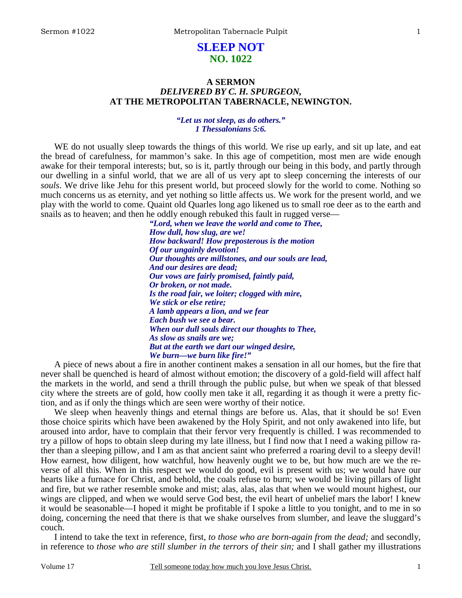# **SLEEP NOT NO. 1022**

# **A SERMON**  *DELIVERED BY C. H. SPURGEON,*  **AT THE METROPOLITAN TABERNACLE, NEWINGTON.**

## *"Let us not sleep, as do others." 1 Thessalonians 5:6.*

WE do not usually sleep towards the things of this world. We rise up early, and sit up late, and eat the bread of carefulness, for mammon's sake. In this age of competition, most men are wide enough awake for their temporal interests; but, so is it, partly through our being in this body, and partly through our dwelling in a sinful world, that we are all of us very apt to sleep concerning the interests of our *souls*. We drive like Jehu for this present world, but proceed slowly for the world to come. Nothing so much concerns us as eternity, and yet nothing so little affects us. We work for the present world, and we play with the world to come. Quaint old Quarles long ago likened us to small roe deer as to the earth and snails as to heaven; and then he oddly enough rebuked this fault in rugged verse—

> *"Lord, when we leave the world and come to Thee, How dull, how slug, are we! How backward! How preposterous is the motion Of our ungainly devotion! Our thoughts are millstones, and our souls are lead, And our desires are dead; Our vows are fairly promised, faintly paid, Or broken, or not made. Is the road fair, we loiter; clogged with mire, We stick or else retire; A lamb appears a lion, and we fear Each bush we see a bear. When our dull souls direct our thoughts to Thee, As slow as snails are we; But at the earth we dart our winged desire, We burn—we burn like fire!"*

A piece of news about a fire in another continent makes a sensation in all our homes, but the fire that never shall be quenched is heard of almost without emotion; the discovery of a gold-field will affect half the markets in the world, and send a thrill through the public pulse, but when we speak of that blessed city where the streets are of gold, how coolly men take it all, regarding it as though it were a pretty fiction, and as if only the things which are seen were worthy of their notice.

We sleep when heavenly things and eternal things are before us. Alas, that it should be so! Even those choice spirits which have been awakened by the Holy Spirit, and not only awakened into life, but aroused into ardor, have to complain that their fervor very frequently is chilled. I was recommended to try a pillow of hops to obtain sleep during my late illness, but I find now that I need a waking pillow rather than a sleeping pillow, and I am as that ancient saint who preferred a roaring devil to a sleepy devil! How earnest, how diligent, how watchful, how heavenly ought we to be, but how much are we the reverse of all this. When in this respect we would do good, evil is present with us; we would have our hearts like a furnace for Christ, and behold, the coals refuse to burn; we would be living pillars of light and fire, but we rather resemble smoke and mist; alas, alas, alas that when we would mount highest, our wings are clipped, and when we would serve God best, the evil heart of unbelief mars the labor! I knew it would be seasonable—I hoped it might be profitable if I spoke a little to you tonight, and to me in so doing, concerning the need that there is that we shake ourselves from slumber, and leave the sluggard's couch.

I intend to take the text in reference, first, *to those who are born-again from the dead;* and secondly, in reference to *those who are still slumber in the terrors of their sin;* and I shall gather my illustrations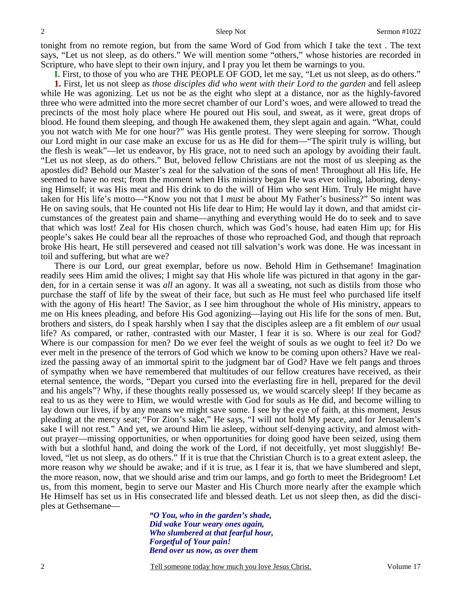tonight from no remote region, but from the same Word of God from which I take the text . The text says, "Let us not sleep, as do others." We will mention some "others," whose histories are recorded in Scripture, who have slept to their own injury, and I pray you let them be warnings to you.

**I.** First, to those of you who are THE PEOPLE OF GOD, let me say, "Let us not sleep, as do others."

**1.** First, let us not sleep as *those disciples did who went with their Lord to the garden* and fell asleep while He was agonizing. Let us not be as the eight who slept at a distance, nor as the highly-favored three who were admitted into the more secret chamber of our Lord's woes, and were allowed to tread the precincts of the most holy place where He poured out His soul, and sweat, as it were, great drops of blood. He found them sleeping, and though He awakened them, they slept again and again. "What, could you not watch with Me for one hour?" was His gentle protest. They were sleeping for sorrow. Though our Lord might in our case make an excuse for us as He did for them—"The spirit truly is willing, but the flesh is weak"—let us endeavor, by His grace, not to need such an apology by avoiding their fault. "Let us not sleep, as do others." But, beloved fellow Christians are not the most of us sleeping as the apostles did? Behold our Master's zeal for the salvation of the sons of men! Throughout all His life, He seemed to have no rest; from the moment when His ministry began He was ever toiling, laboring, denying Himself; it was His meat and His drink to do the will of Him who sent Him. Truly He might have taken for His life's motto—"Know you not that I *must* be about My Father's business?" So intent was He on saving souls, that He counted not His life dear to Him; He would lay it down, and that amidst circumstances of the greatest pain and shame—anything and everything would He do to seek and to save that which was lost! Zeal for His chosen church, which was God's house, had eaten Him up; for His people's sakes He could bear all the reproaches of those who reproached God, and though that reproach broke His heart, He still persevered and ceased not till salvation's work was done. He was incessant in toil and suffering, but what are we?

There is our Lord, our great exemplar, before us now. Behold Him in Gethsemane! Imagination readily sees Him amid the olives; I might say that His whole life was pictured in that agony in the garden, for in a certain sense it was *all* an agony. It was all a sweating, not such as distils from those who purchase the staff of life by the sweat of their face, but such as He must feel who purchased life itself with the agony of His heart! The Savior, as I see him throughout the whole of His ministry, appears to me on His knees pleading, and before His God agonizing—laying out His life for the sons of men. But, brothers and sisters, do I speak harshly when I say that the disciples asleep are a fit emblem of *our* usual life? As compared, or rather, contrasted with our Master, I fear it is so. Where is our zeal for God? Where is our compassion for men? Do we ever feel the weight of souls as we ought to feel it? Do we ever melt in the presence of the terrors of God which we know to be coming upon others? Have we realized the passing away of an immortal spirit to the judgment bar of God? Have we felt pangs and throes of sympathy when we have remembered that multitudes of our fellow creatures have received, as their eternal sentence, the words, "Depart you cursed into the everlasting fire in hell, prepared for the devil and his angels"? Why, if these thoughts really possessed us, we would scarcely sleep! If they became as real to us as they were to Him, we would wrestle with God for souls as He did, and become willing to lay down our lives, if by any means we might save some. I see by the eye of faith, at this moment, Jesus pleading at the mercy seat; "For Zion's sake," He says, "I will not hold My peace, and for Jerusalem's sake I will not rest." And yet, we around Him lie asleep, without self-denying activity, and almost without prayer—missing opportunities, or when opportunities for doing good have been seized, using them with but a slothful hand, and doing the work of the Lord, if not deceitfully, yet most sluggishly! Beloved, "let us not sleep, as do others." If it is true that the Christian Church is to a great extent asleep, the more reason why *we* should be awake; and if it is true, as I fear it is, that we have slumbered and slept, the more reason, now, that we should arise and trim our lamps, and go forth to meet the Bridegroom! Let us, from this moment, begin to serve our Master and His Church more nearly after the example which He Himself has set us in His consecrated life and blessed death. Let us not sleep then, as did the disciples at Gethsemane—

> *"O You, who in the garden's shade, Did wake Your weary ones again, Who slumbered at that fearful hour, Forgetful of Your pain! Bend over us now, as over them*

2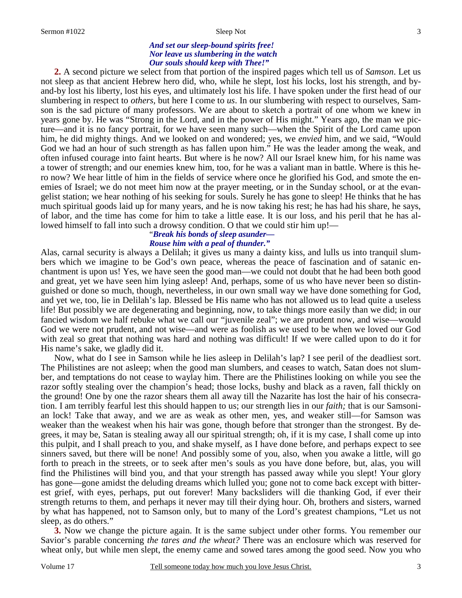#### *And set our sleep-bound spirits free! Nor leave us slumbering in the watch Our souls should keep with Thee!"*

**2.** A second picture we select from that portion of the inspired pages which tell us of *Samson*. Let us not sleep as that ancient Hebrew hero did, who, while he slept, lost his locks, lost his strength, and byand-by lost his liberty, lost his eyes, and ultimately lost his life. I have spoken under the first head of our slumbering in respect to *others,* but here I come to *us*. In our slumbering with respect to ourselves, Samson is the sad picture of many professors. We are about to sketch a portrait of one whom we knew in years gone by. He was "Strong in the Lord, and in the power of His might." Years ago, the man we picture—and it is no fancy portrait, for we have seen many such—when the Spirit of the Lord came upon him, he did mighty things. And we looked on and wondered; yes, we *envied* him, and we said, "Would God we had an hour of such strength as has fallen upon him." He was the leader among the weak, and often infused courage into faint hearts. But where is he now? All our Israel knew him, for his name was a tower of strength; and our enemies knew him, too, for he was a valiant man in battle. Where is this hero now? We hear little of him in the fields of service where once he glorified his God, and smote the enemies of Israel; we do not meet him now at the prayer meeting, or in the Sunday school, or at the evangelist station; we hear nothing of his seeking for souls. Surely he has gone to sleep! He thinks that he has much spiritual goods laid up for many years, and he is now taking his rest; he has had his share, he says, of labor, and the time has come for him to take a little ease. It is our loss, and his peril that he has allowed himself to fall into such a drowsy condition. O that we could stir him up!—

### "*Break his bonds of sleep asunder— Rouse him with a peal of thunder."*

Alas, carnal security is always a Delilah; it gives us many a dainty kiss, and lulls us into tranquil slumbers which we imagine to be God's own peace, whereas the peace of fascination and of satanic enchantment is upon us! Yes, we have seen the good man—we could not doubt that he had been both good and great, yet we have seen him lying asleep! And, perhaps, some of us who have never been so distinguished or done so much, though, nevertheless, in our own small way we have done something for God, and yet we, too, lie in Delilah's lap. Blessed be His name who has not allowed us to lead quite a useless life! But possibly we are degenerating and beginning, now, to take things more easily than we did; in our fancied wisdom we half rebuke what we call our "juvenile zeal"; we are prudent now, and wise—would God we were not prudent, and not wise—and were as foolish as we used to be when we loved our God with zeal so great that nothing was hard and nothing was difficult! If we were called upon to do it for His name's sake, we gladly did it.

Now, what do I see in Samson while he lies asleep in Delilah's lap? I see peril of the deadliest sort. The Philistines are not asleep; when the good man slumbers, and ceases to watch, Satan does not slumber, and temptations do not cease to waylay him. There are the Philistines looking on while you see the razor softly stealing over the champion's head; those locks, bushy and black as a raven, fall thickly on the ground! One by one the razor shears them all away till the Nazarite has lost the hair of his consecration. I am terribly fearful lest this should happen to us; our strength lies in our *faith;* that is our Samsonian lock! Take that away, and we are as weak as other men, yes, and weaker still—for Samson was weaker than the weakest when his hair was gone, though before that stronger than the strongest. By degrees, it may be, Satan is stealing away all our spiritual strength; oh, if it is my case, I shall come up into this pulpit, and I shall preach to you, and shake myself, as I have done before, and perhaps expect to see sinners saved, but there will be none! And possibly some of you, also, when you awake a little, will go forth to preach in the streets, or to seek after men's souls as you have done before, but, alas, you will find the Philistines will bind you, and that your strength has passed away while you slept! Your glory has gone—gone amidst the deluding dreams which lulled you; gone not to come back except with bitterest grief, with eyes, perhaps, put out forever! Many backsliders will die thanking God, if ever their strength returns to them, and perhaps it never may till their dying hour. Oh, brothers and sisters, warned by what has happened, not to Samson only, but to many of the Lord's greatest champions, "Let us not sleep, as do others."

**3.** Now we change the picture again. It is the same subject under other forms. You remember our Savior's parable concerning *the tares and the wheat?* There was an enclosure which was reserved for wheat only, but while men slept, the enemy came and sowed tares among the good seed. Now you who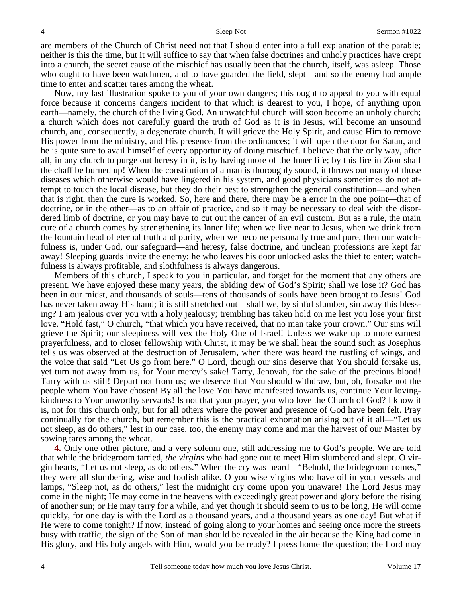are members of the Church of Christ need not that I should enter into a full explanation of the parable; neither is this the time, but it will suffice to say that when false doctrines and unholy practices have crept into a church, the secret cause of the mischief has usually been that the church, itself, was asleep. Those who ought to have been watchmen, and to have guarded the field, slept—and so the enemy had ample time to enter and scatter tares among the wheat.

Now, my last illustration spoke to you of your own dangers; this ought to appeal to you with equal force because it concerns dangers incident to that which is dearest to you, I hope, of anything upon earth—namely, the church of the living God. An unwatchful church will soon become an unholy church; a church which does not carefully guard the truth of God as it is in Jesus, will become an unsound church, and, consequently, a degenerate church. It will grieve the Holy Spirit, and cause Him to remove His power from the ministry, and His presence from the ordinances; it will open the door for Satan, and he is quite sure to avail himself of every opportunity of doing mischief. I believe that the only way, after all, in any church to purge out heresy in it, is by having more of the Inner life; by this fire in Zion shall the chaff be burned up! When the constitution of a man is thoroughly sound, it throws out many of those diseases which otherwise would have lingered in his system, and good physicians sometimes do not attempt to touch the local disease, but they do their best to strengthen the general constitution—and when that is right, then the cure is worked. So, here and there, there may be a error in the one point—that of doctrine, or in the other—as to an affair of practice, and so it may be necessary to deal with the disordered limb of doctrine, or you may have to cut out the cancer of an evil custom. But as a rule, the main cure of a church comes by strengthening its Inner life; when we live near to Jesus, when we drink from the fountain head of eternal truth and purity, when we become personally true and pure, then our watchfulness is, under God, our safeguard—and heresy, false doctrine, and unclean professions are kept far away! Sleeping guards invite the enemy; he who leaves his door unlocked asks the thief to enter; watchfulness is always profitable, and slothfulness is always dangerous.

Members of this church, I speak to you in particular, and forget for the moment that any others are present. We have enjoyed these many years, the abiding dew of God's Spirit; shall we lose it? God has been in our midst, and thousands of souls—tens of thousands of souls have been brought to Jesus! God has never taken away His hand; it is still stretched out—shall we, by sinful slumber, sin away this blessing? I am jealous over you with a holy jealousy; trembling has taken hold on me lest you lose your first love. "Hold fast," O church, "that which you have received, that no man take your crown." Our sins will grieve the Spirit; our sleepiness will vex the Holy One of Israel! Unless we wake up to more earnest prayerfulness, and to closer fellowship with Christ, it may be we shall hear the sound such as Josephus tells us was observed at the destruction of Jerusalem, when there was heard the rustling of wings, and the voice that said "Let Us go from here." O Lord, though our sins deserve that You should forsake us, yet turn not away from us, for Your mercy's sake! Tarry, Jehovah, for the sake of the precious blood! Tarry with us still! Depart not from us; we deserve that You should withdraw, but, oh, forsake not the people whom You have chosen! By all the love You have manifested towards us, continue Your lovingkindness to Your unworthy servants! Is not that your prayer, you who love the Church of God? I know it is, not for this church only, but for all others where the power and presence of God have been felt. Pray continually for the church, but remember this is the practical exhortation arising out of it all—"Let us not sleep, as do others," lest in our case, too, the enemy may come and mar the harvest of our Master by sowing tares among the wheat.

**4.** Only one other picture, and a very solemn one, still addressing me to God's people. We are told that while the bridegroom tarried, *the virgins* who had gone out to meet Him slumbered and slept. O virgin hearts, "Let us not sleep, as do others." When the cry was heard—"Behold, the bridegroom comes," they were all slumbering, wise and foolish alike. O you wise virgins who have oil in your vessels and lamps, "Sleep not, as do others," lest the midnight cry come upon you unaware! The Lord Jesus may come in the night; He may come in the heavens with exceedingly great power and glory before the rising of another sun; or He may tarry for a while, and yet though it should seem to us to be long, He will come quickly, for one day is with the Lord as a thousand years, and a thousand years as one day! But what if He were to come tonight? If now, instead of going along to your homes and seeing once more the streets busy with traffic, the sign of the Son of man should be revealed in the air because the King had come in His glory, and His holy angels with Him, would you be ready? I press home the question; the Lord may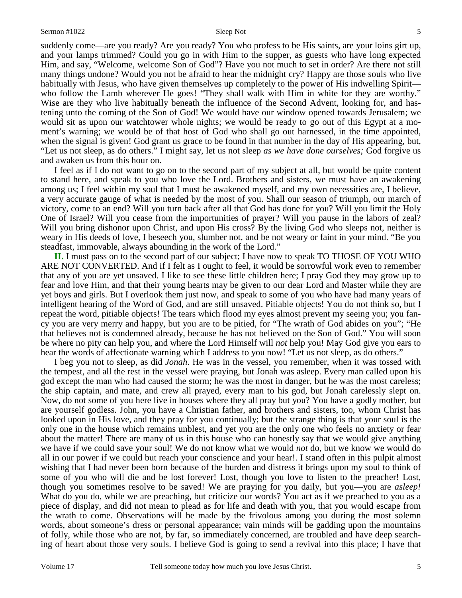suddenly come—are you ready? Are you ready? You who profess to be His saints, are your loins girt up, and your lamps trimmed? Could you go in with Him to the supper, as guests who have long expected Him, and say, "Welcome, welcome Son of God"? Have you not much to set in order? Are there not still many things undone? Would you not be afraid to hear the midnight cry? Happy are those souls who live habitually with Jesus, who have given themselves up completely to the power of His indwelling Spirit who follow the Lamb wherever He goes! "They shall walk with Him in white for they are worthy." Wise are they who live habitually beneath the influence of the Second Advent, looking for, and hastening unto the coming of the Son of God! We would have our window opened towards Jerusalem; we would sit as upon our watchtower whole nights; we would be ready to go out of this Egypt at a moment's warning; we would be of that host of God who shall go out harnessed, in the time appointed, when the signal is given! God grant us grace to be found in that number in the day of His appearing, but, "Let us not sleep, as do others." I might say, let us not sleep *as we have done ourselves;* God forgive us and awaken us from this hour on.

I feel as if I do not want to go on to the second part of my subject at all, but would be quite content to stand here, and speak to you who love the Lord. Brothers and sisters, we must have an awakening among us; I feel within my soul that I must be awakened myself, and my own necessities are, I believe, a very accurate gauge of what is needed by the most of you. Shall our season of triumph, our march of victory, come to an end? Will you turn back after all that God has done for you? Will you limit the Holy One of Israel? Will you cease from the importunities of prayer? Will you pause in the labors of zeal? Will you bring dishonor upon Christ, and upon His cross? By the living God who sleeps not, neither is weary in His deeds of love, I beseech you, slumber not, and be not weary or faint in your mind. "Be you steadfast, immovable, always abounding in the work of the Lord."

**II.** I must pass on to the second part of our subject; I have now to speak TO THOSE OF YOU WHO ARE NOT CONVERTED. And if I felt as I ought to feel, it would be sorrowful work even to remember that any of you are yet unsaved. I like to see these little children here; I pray God they may grow up to fear and love Him, and that their young hearts may be given to our dear Lord and Master while they are yet boys and girls. But I overlook them just now, and speak to some of you who have had many years of intelligent hearing of the Word of God, and are still unsaved. Pitiable objects! You do not think so, but I repeat the word, pitiable objects! The tears which flood my eyes almost prevent my seeing you; you fancy you are very merry and happy, but you are to be pitied, for "The wrath of God abides on you"; "He that believes not is condemned already, because he has not believed on the Son of God." You will soon be where no pity can help you, and where the Lord Himself will *not* help you! May God give you ears to hear the words of affectionate warning which I address to you now! "Let us not sleep, as do others."

I beg you not to sleep, as did *Jonah*. He was in the vessel, you remember, when it was tossed with the tempest, and all the rest in the vessel were praying, but Jonah was asleep. Every man called upon his god except the man who had caused the storm; he was the most in danger, but he was the most careless; the ship captain, and mate, and crew all prayed, every man to his god, but Jonah carelessly slept on. Now, do not some of you here live in houses where they all pray but you? You have a godly mother, but are yourself godless. John, you have a Christian father, and brothers and sisters, too, whom Christ has looked upon in His love, and they pray for you continually; but the strange thing is that your soul is the only one in the house which remains unblest, and yet you are the only one who feels no anxiety or fear about the matter! There are many of us in this house who can honestly say that we would give anything we have if we could save your soul! We do not know what we would *not* do, but we know we would do all in our power if we could but reach your conscience and your hear!. I stand often in this pulpit almost wishing that I had never been born because of the burden and distress it brings upon my soul to think of some of you who will die and be lost forever! Lost, though you love to listen to the preacher! Lost, though you sometimes resolve to be saved! We are praying for you daily, but you—you are *asleep!* What do you do, while we are preaching, but criticize our words? You act as if we preached to you as a piece of display, and did not mean to plead as for life and death with you, that you would escape from the wrath to come. Observations will be made by the frivolous among you during the most solemn words, about someone's dress or personal appearance; vain minds will be gadding upon the mountains of folly, while those who are not, by far, so immediately concerned, are troubled and have deep searching of heart about those very souls. I believe God is going to send a revival into this place; I have that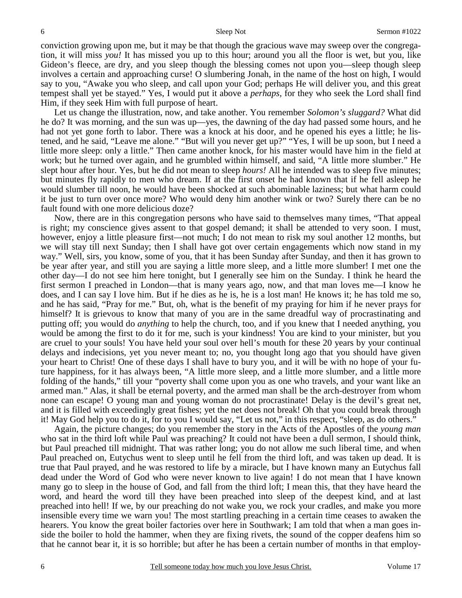conviction growing upon me, but it may be that though the gracious wave may sweep over the congregation, it will miss *you!* It has missed you up to this hour; around you all the floor is wet, but you, like Gideon's fleece, are dry, and you sleep though the blessing comes not upon you—sleep though sleep involves a certain and approaching curse! O slumbering Jonah, in the name of the host on high, I would say to you, "Awake you who sleep, and call upon your God; perhaps He will deliver you, and this great tempest shall yet be stayed." Yes, I would put it above a *perhaps,* for they who seek the Lord shall find Him, if they seek Him with full purpose of heart.

Let us change the illustration, now, and take another. You remember *Solomon's sluggard?* What did he do? It was morning, and the sun was up—yes, the dawning of the day had passed some hours, and he had not yet gone forth to labor. There was a knock at his door, and he opened his eyes a little; he listened, and he said, "Leave me alone." "But will you never get up?" "Yes, I will be up soon, but I need a little more sleep: only a little." Then came another knock, for his master would have him in the field at work; but he turned over again, and he grumbled within himself, and said, "A little more slumber." He slept hour after hour. Yes, but he did not mean to sleep *hours!* All he intended was to sleep five minutes; but minutes fly rapidly to men who dream. If at the first onset he had known that if he fell asleep he would slumber till noon, he would have been shocked at such abominable laziness; but what harm could it be just to turn over once more? Who would deny him another wink or two? Surely there can be no fault found with one more delicious doze?

Now, there are in this congregation persons who have said to themselves many times, "That appeal is right; my conscience gives assent to that gospel demand; it shall be attended to very soon. I must, however, enjoy a little pleasure first—not much; I do not mean to risk my soul another 12 months, but we will stay till next Sunday; then I shall have got over certain engagements which now stand in my way." Well, sirs, you know, some of you, that it has been Sunday after Sunday, and then it has grown to be year after year, and still you are saying a little more sleep, and a little more slumber! I met one the other day—I do not see him here tonight, but I generally see him on the Sunday. I think he heard the first sermon I preached in London—that is many years ago, now, and that man loves me—I know he does, and I can say I love him. But if he dies as he is, he is a lost man! He knows it; he has told me so, and he has said, "Pray for me." But, oh, what is the benefit of my praying for him if he never prays for himself? It is grievous to know that many of you are in the same dreadful way of procrastinating and putting off; you would do *anything* to help the church, too, and if you knew that I needed anything, you would be among the first to do it for me, such is your kindness! You are kind to your minister, but you are cruel to your souls! You have held your soul over hell's mouth for these 20 years by your continual delays and indecisions, yet you never meant to; no, you thought long ago that you should have given your heart to Christ! One of these days I shall have to bury you, and it will be with no hope of your future happiness, for it has always been, "A little more sleep, and a little more slumber, and a little more folding of the hands," till your "poverty shall come upon you as one who travels, and your want like an armed man." Alas, it shall be eternal poverty, and the armed man shall be the arch-destroyer from whom none can escape! O young man and young woman do not procrastinate! Delay is the devil's great net, and it is filled with exceedingly great fishes; yet the net does not break! Oh that you could break through it! May God help you to do it, for to you I would say, "Let us not," in this respect, "sleep, as do others."

Again, the picture changes; do you remember the story in the Acts of the Apostles of the *young man*  who sat in the third loft while Paul was preaching? It could not have been a dull sermon, I should think, but Paul preached till midnight. That was rather long; you do not allow me such liberal time, and when Paul preached on, Eutychus went to sleep until he fell from the third loft, and was taken up dead. It is true that Paul prayed, and he was restored to life by a miracle, but I have known many an Eutychus fall dead under the Word of God who were never known to live again! I do not mean that I have known many go to sleep in the house of God, and fall from the third loft; I mean this, that they have heard the word, and heard the word till they have been preached into sleep of the deepest kind, and at last preached into hell! If we, by our preaching do not wake you, we rock your cradles, and make you more insensible every time we warn you! The most startling preaching in a certain time ceases to awaken the hearers. You know the great boiler factories over here in Southwark; I am told that when a man goes inside the boiler to hold the hammer, when they are fixing rivets, the sound of the copper deafens him so that he cannot bear it, it is so horrible; but after he has been a certain number of months in that employ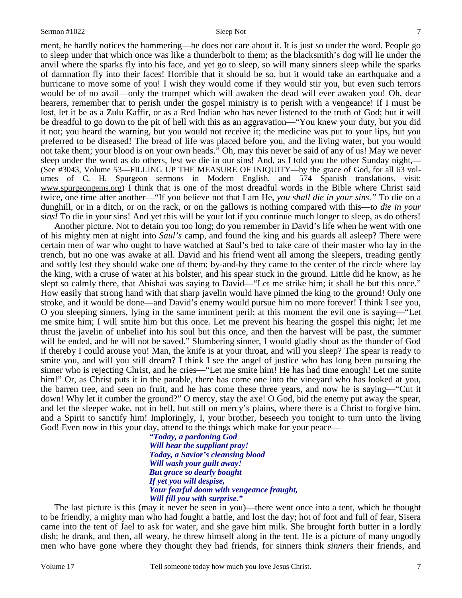ment, he hardly notices the hammering—he does not care about it. It is just so under the word. People go to sleep under that which once was like a thunderbolt to them; as the blacksmith's dog will lie under the anvil where the sparks fly into his face, and yet go to sleep, so will many sinners sleep while the sparks of damnation fly into their faces! Horrible that it should be so, but it would take an earthquake and a hurricane to move some of you! I wish they would come if they would stir you, but even such terrors would be of no avail—only the trumpet which will awaken the dead will ever awaken you! Oh, dear hearers, remember that to perish under the gospel ministry is to perish with a vengeance! If I must be lost, let it be as a Zulu Kaffir, or as a Red Indian who has never listened to the truth of God; but it will be dreadful to go down to the pit of hell with this as an aggravation—"You knew your duty, but you did it not; you heard the warning, but you would not receive it; the medicine was put to your lips, but you preferred to be diseased! The bread of life was placed before you, and the living water, but you would not take them; your blood is on your own heads." Oh, may this never be said of any of us! May we never sleep under the word as do others, lest we die in our sins! And, as I told you the other Sunday night,— (See #3043, Volume 53—FILLING UP THE MEASURE OF INIQUITY—by the grace of God, for all 63 volumes of C. H. Spurgeon sermons in Modern English, and 574 Spanish translations, visit: www.spurgeongems.org) I think that is one of the most dreadful words in the Bible where Christ said twice, one time after another—"If you believe not that I am He, *you shall die in your sins."* To die on a dunghill, or in a ditch, or on the rack, or on the gallows is nothing compared with this—*to die in your sins!* To die in your sins! And yet this will be your lot if you continue much longer to sleep, as do others!

Another picture. Not to detain you too long; do you remember in David's life when he went with one of his mighty men at night into *Saul's* camp, and found the king and his guards all asleep? There were certain men of war who ought to have watched at Saul's bed to take care of their master who lay in the trench, but no one was awake at all. David and his friend went all among the sleepers, treading gently and softly lest they should wake one of them; by-and-by they came to the center of the circle where lay the king, with a cruse of water at his bolster, and his spear stuck in the ground. Little did he know, as he slept so calmly there, that Abishai was saying to David—"Let me strike him; it shall be but this once." How easily that strong hand with that sharp javelin would have pinned the king to the ground! Only one stroke, and it would be done—and David's enemy would pursue him no more forever! I think I see you, O you sleeping sinners, lying in the same imminent peril; at this moment the evil one is saying—"Let me smite him; I will smite him but this once. Let me prevent his hearing the gospel this night; let me thrust the javelin of unbelief into his soul but this once, and then the harvest will be past, the summer will be ended, and he will not be saved." Slumbering sinner, I would gladly shout as the thunder of God if thereby I could arouse you! Man, the knife is at your throat, and will you sleep? The spear is ready to smite you, and will you still dream? I think I see the angel of justice who has long been pursuing the sinner who is rejecting Christ, and he cries—"Let me smite him! He has had time enough! Let me smite him!" Or, as Christ puts it in the parable, there has come one into the vineyard who has looked at you, the barren tree, and seen no fruit, and he has come these three years, and now he is saying—"Cut it down! Why let it cumber the ground?" O mercy, stay the axe! O God, bid the enemy put away the spear, and let the sleeper wake, not in hell, but still on mercy's plains, where there is a Christ to forgive him, and a Spirit to sanctify him! Imploringly, I, your brother, beseech you tonight to turn unto the living God! Even now in this your day, attend to the things which make for your peace—

*"Today, a pardoning God Will hear the suppliant pray! Today, a Savior's cleansing blood Will wash your guilt away! But grace so dearly bought If yet you will despise, Your fearful doom with vengeance fraught, Will fill you with surprise."* 

The last picture is this (may it never be seen in you)—there went once into a tent, which he thought to be friendly, a mighty man who had fought a battle, and lost the day; hot of foot and full of fear, Sisera came into the tent of Jael to ask for water, and she gave him milk. She brought forth butter in a lordly dish; he drank, and then, all weary, he threw himself along in the tent. He is a picture of many ungodly men who have gone where they thought they had friends, for sinners think *sinners* their friends, and